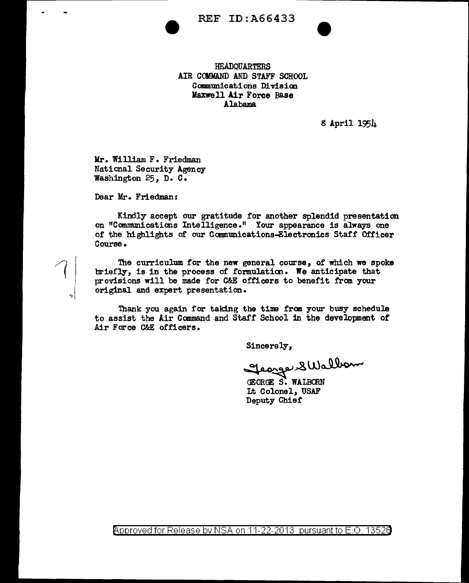**REF ID: A66433** 

**HEADOUARTERS** AIR COMMAND AND STAFF SCHOOL Communications Division Maxwell Air Force Base Alabama

8 April 1954

Mr. William F. Friedman National Security Agency Washington 25, D. C.

Dear Mr. Friedman:

Kindly accept our gratitude for another splendid presentation on "Communications Intelligence." Your appearance is always one of the highlights of our Communications-Electronics Staff Officer Course.

The curriculum for the new general course, of which we spoke briefly, is in the process of formulation. We anticipate that provisions will be made for C&E officers to benefit from your original and expert presentation.

Thank you again for taking the time from your busy schedule to assist the Air Command and Staff School in the development of Air Force C&E officers.

Sincerely,

george SWalborn

**CEORGE S. WALBORN** It Colonel, USAF Deputy Chief

<code>Approved</code> for Release by NSA on 11-22-2013  $\,$  pursuant to E.O. 13526  $\,$